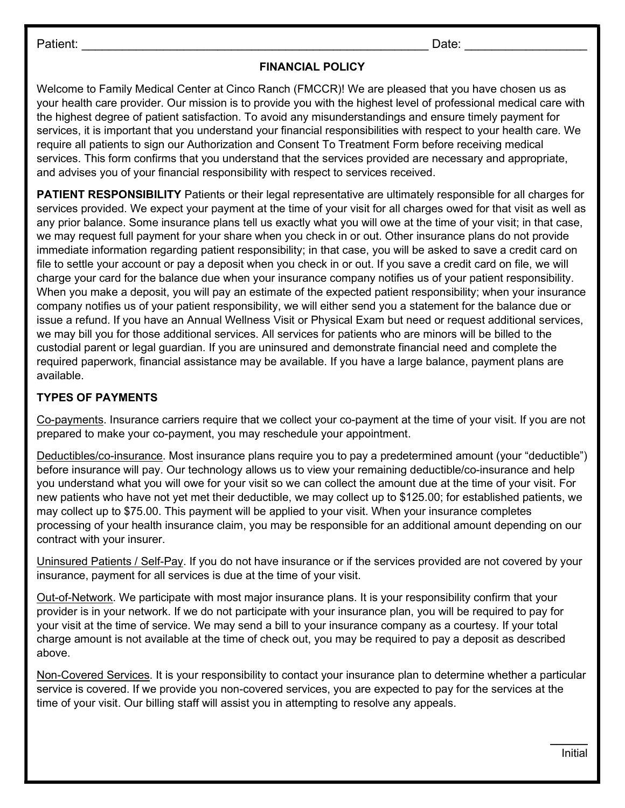Patient: \_\_\_\_\_\_\_\_\_\_\_\_\_\_\_\_\_\_\_\_\_\_\_\_\_\_\_\_\_\_\_\_\_\_\_\_\_\_\_\_\_\_\_\_\_\_\_\_\_\_\_ Date: \_\_\_\_\_\_\_\_\_\_\_\_\_\_\_\_\_\_

## FINANCIAL POLICY

Welcome to Family Medical Center at Cinco Ranch (FMCCR)! We are pleased that you have chosen us as your health care provider. Our mission is to provide you with the highest level of professional medical care with the highest degree of patient satisfaction. To avoid any misunderstandings and ensure timely payment for services, it is important that you understand your financial responsibilities with respect to your health care. We require all patients to sign our Authorization and Consent To Treatment Form before receiving medical services. This form confirms that you understand that the services provided are necessary and appropriate, and advises you of your financial responsibility with respect to services received.

PATIENT RESPONSIBILITY Patients or their legal representative are ultimately responsible for all charges for services provided. We expect your payment at the time of your visit for all charges owed for that visit as well as any prior balance. Some insurance plans tell us exactly what you will owe at the time of your visit; in that case, we may request full payment for your share when you check in or out. Other insurance plans do not provide immediate information regarding patient responsibility; in that case, you will be asked to save a credit card on file to settle your account or pay a deposit when you check in or out. If you save a credit card on file, we will charge your card for the balance due when your insurance company notifies us of your patient responsibility. When you make a deposit, you will pay an estimate of the expected patient responsibility; when your insurance company notifies us of your patient responsibility, we will either send you a statement for the balance due or issue a refund. If you have an Annual Wellness Visit or Physical Exam but need or request additional services, we may bill you for those additional services. All services for patients who are minors will be billed to the custodial parent or legal guardian. If you are uninsured and demonstrate financial need and complete the required paperwork, financial assistance may be available. If you have a large balance, payment plans are available.

## TYPES OF PAYMENTS

Co-payments. Insurance carriers require that we collect your co-payment at the time of your visit. If you are not prepared to make your co-payment, you may reschedule your appointment.

Deductibles/co-insurance. Most insurance plans require you to pay a predetermined amount (your "deductible") before insurance will pay. Our technology allows us to view your remaining deductible/co-insurance and help you understand what you will owe for your visit so we can collect the amount due at the time of your visit. For new patients who have not yet met their deductible, we may collect up to \$125.00; for established patients, we may collect up to \$75.00. This payment will be applied to your visit. When your insurance completes processing of your health insurance claim, you may be responsible for an additional amount depending on our contract with your insurer.

Uninsured Patients / Self-Pay. If you do not have insurance or if the services provided are not covered by your insurance, payment for all services is due at the time of your visit.

Out-of-Network. We participate with most major insurance plans. It is your responsibility confirm that your provider is in your network. If we do not participate with your insurance plan, you will be required to pay for your visit at the time of service. We may send a bill to your insurance company as a courtesy. If your total charge amount is not available at the time of check out, you may be required to pay a deposit as described above.

Non-Covered Services. It is your responsibility to contact your insurance plan to determine whether a particular service is covered. If we provide you non-covered services, you are expected to pay for the services at the time of your visit. Our billing staff will assist you in attempting to resolve any appeals.

> $\overline{\phantom{a}}$ Initial